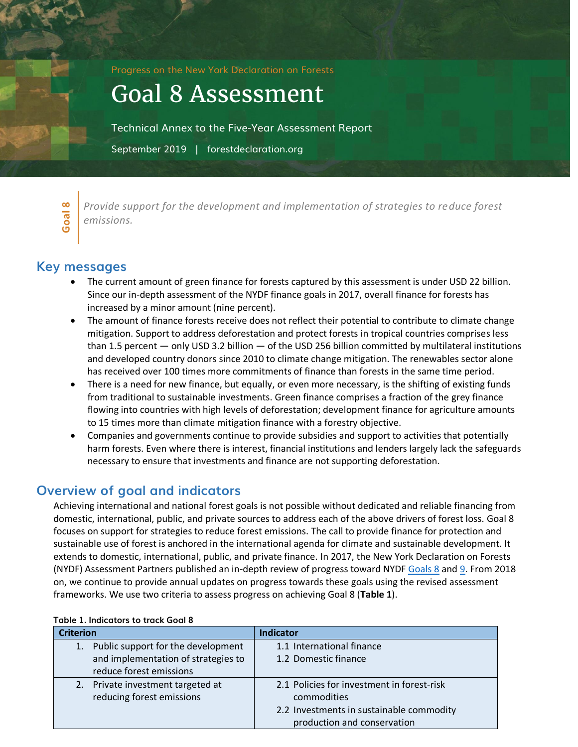Progress on the New York Declaration on Forests

# Goal 8 Assessment

Technical Annex to the Five-Year Assessment Report

September 2019 | forestdeclaration.org



*Provide support for the development and implementation of strategies to reduce forest emissions.* 

## **Key messages**

- The current amount of green finance for forests captured by this assessment is under USD 22 billion. Since our in-depth assessment of the NYDF finance goals in 2017, overall finance for forests has increased by a minor amount (nine percent).
- The amount of finance forests receive does not reflect their potential to contribute to climate change mitigation. Support to address deforestation and protect forests in tropical countries comprises less than 1.5 percent — only USD 3.2 billion — of the USD 256 billion committed by multilateral institutions and developed country donors since 2010 to climate change mitigation. The renewables sector alone has received over 100 times more commitments of finance than forests in the same time period.
- There is a need for new finance, but equally, or even more necessary, is the shifting of existing funds from traditional to sustainable investments. Green finance comprises a fraction of the grey finance flowing into countries with high levels of deforestation; development finance for agriculture amounts to 15 times more than climate mitigation finance with a forestry objective.
- Companies and governments continue to provide subsidies and support to activities that potentially harm forests. Even where there is interest, financial institutions and lenders largely lack the safeguards necessary to ensure that investments and finance are not supporting deforestation.

# **Overview of goal and indicators**

Achieving international and national forest goals is not possible without dedicated and reliable financing from domestic, international, public, and private sources to address each of the above drivers of forest loss. Goal 8 focuses on support for strategies to reduce forest emissions. The call to provide finance for protection and sustainable use of forest is anchored in the international agenda for climate and sustainable development. It extends to domestic, international, public, and private finance. In 2017, the New York Declaration on Forests (NYDF) Assessment Partners published an in-depth review of progress toward NYDF [Goals 8](http://www.forestdeclaration.org/goals/goal-8) and [9.](http://www.forestdeclaration.org/goals/goal-9) From 2018 on, we continue to provide annual updates on progress towards these goals using the revised assessment frameworks. We use two criteria to assess progress on achieving Goal 8 (**Table 1**).

| rupie II multutors to truck dour o       |                                            |  |
|------------------------------------------|--------------------------------------------|--|
| <b>Criterion</b>                         | Indicator                                  |  |
| Public support for the development<br>1. | 1.1 International finance                  |  |
| and implementation of strategies to      | 1.2 Domestic finance                       |  |
| reduce forest emissions                  |                                            |  |
| 2. Private investment targeted at        | 2.1 Policies for investment in forest-risk |  |
| reducing forest emissions                | commodities                                |  |
|                                          | 2.2 Investments in sustainable commodity   |  |
|                                          | production and conservation                |  |

### **Table 1. Indicators to track Goal 8**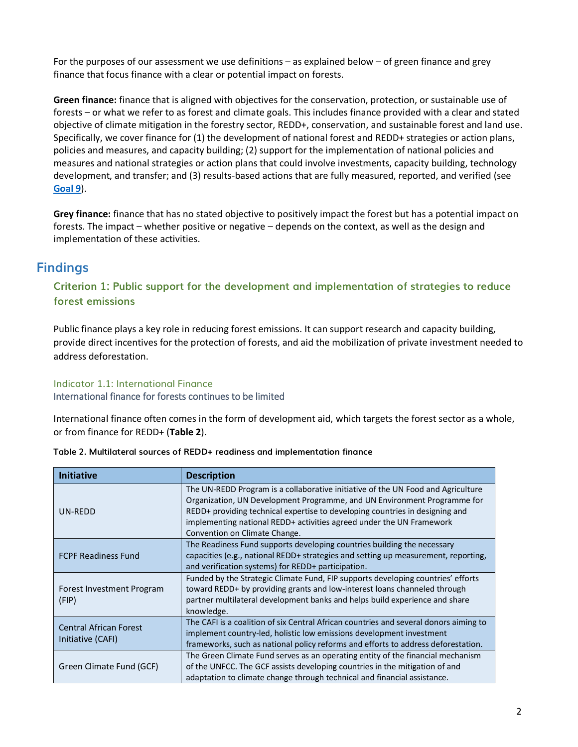For the purposes of our assessment we use definitions – as explained below – of green finance and grey finance that focus finance with a clear or potential impact on forests.

**Green finance:** finance that is aligned with objectives for the conservation, protection, or sustainable use of forests – or what we refer to as forest and climate goals. This includes finance provided with a clear and stated objective of climate mitigation in the forestry sector, REDD+, conservation, and sustainable forest and land use. Specifically, we cover finance for (1) the development of national forest and REDD+ strategies or action plans, policies and measures, and capacity building; (2) support for the implementation of national policies and measures and national strategies or action plans that could involve investments, capacity building, technology development, and transfer; and (3) results-based actions that are fully measured, reported, and verified (see **[Goal 9](http://www.forestdeclaration.org/goals/goal-9)**).

**Grey finance:** finance that has no stated objective to positively impact the forest but has a potential impact on forests. The impact – whether positive or negative – depends on the context, as well as the design and implementation of these activities.

# **Findings**

**Criterion 1: Public support for the development and implementation of strategies to reduce forest emissions** 

Public finance plays a key role in reducing forest emissions. It can support research and capacity building, provide direct incentives for the protection of forests, and aid the mobilization of private investment needed to address deforestation.

## Indicator 1.1: International Finance International finance for forests continues to be limited

International finance often comes in the form of development aid, which targets the forest sector as a whole, or from finance for REDD+ (**Table 2**).

| <b>Initiative</b>                                  | <b>Description</b>                                                                                                                                                                                                                                                                                                                                    |
|----------------------------------------------------|-------------------------------------------------------------------------------------------------------------------------------------------------------------------------------------------------------------------------------------------------------------------------------------------------------------------------------------------------------|
| UN-REDD                                            | The UN-REDD Program is a collaborative initiative of the UN Food and Agriculture<br>Organization, UN Development Programme, and UN Environment Programme for<br>REDD+ providing technical expertise to developing countries in designing and<br>implementing national REDD+ activities agreed under the UN Framework<br>Convention on Climate Change. |
| <b>FCPF Readiness Fund</b>                         | The Readiness Fund supports developing countries building the necessary<br>capacities (e.g., national REDD+ strategies and setting up measurement, reporting,<br>and verification systems) for REDD+ participation.                                                                                                                                   |
| Forest Investment Program<br>(FIP)                 | Funded by the Strategic Climate Fund, FIP supports developing countries' efforts<br>toward REDD+ by providing grants and low-interest loans channeled through<br>partner multilateral development banks and helps build experience and share<br>knowledge.                                                                                            |
| <b>Central African Forest</b><br>Initiative (CAFI) | The CAFI is a coalition of six Central African countries and several donors aiming to<br>implement country-led, holistic low emissions development investment<br>frameworks, such as national policy reforms and efforts to address deforestation.                                                                                                    |
| Green Climate Fund (GCF)                           | The Green Climate Fund serves as an operating entity of the financial mechanism<br>of the UNFCC. The GCF assists developing countries in the mitigation of and<br>adaptation to climate change through technical and financial assistance.                                                                                                            |

| Table 2. Multilateral sources of REDD+ readiness and implementation finance |  |  |  |
|-----------------------------------------------------------------------------|--|--|--|
|-----------------------------------------------------------------------------|--|--|--|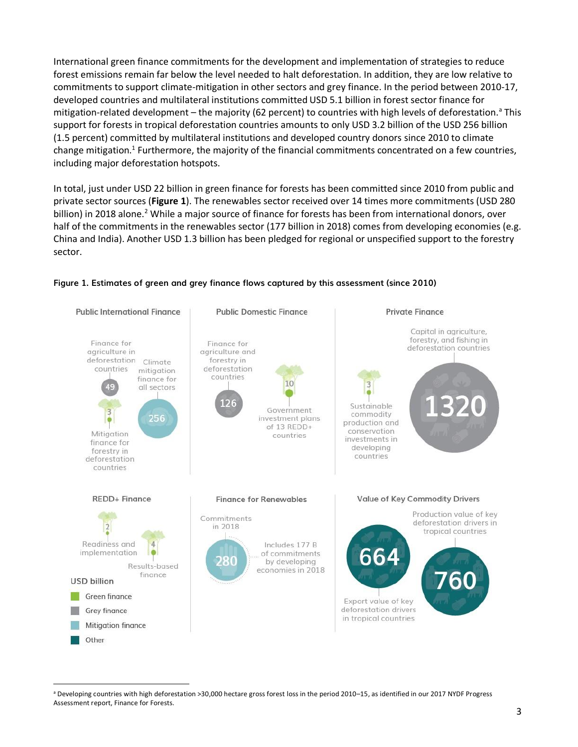International green finance commitments for the development and implementation of strategies to reduce forest emissions remain far below the level needed to halt deforestation. In addition, they are low relative to commitments to support climate-mitigation in other sectors and grey finance. In the period between 2010-17, developed countries and multilateral institutions committed USD 5.1 billion in forest sector finance for mitigation-related development – the majority (62 percent) to countries with high levels of deforestation.<sup>a</sup> This support for forests in tropical deforestation countries amounts to only USD 3.2 billion of the USD 256 billion (1.5 percent) committed by multilateral institutions and developed country donors since 2010 to climate change mitigation.<sup>1</sup> Furthermore, the majority of the financial commitments concentrated on a few countries, including major deforestation hotspots.

In total, just under USD 22 billion in green finance for forests has been committed since 2010 from public and private sector sources (**Figure 1**). The renewables sector received over 14 times more commitments (USD 280 billion) in 2018 alone.<sup>2</sup> While a major source of finance for forests has been from international donors, over half of the commitments in the renewables sector (177 billion in 2018) comes from developing economies (e.g. China and India). Another USD 1.3 billion has been pledged for regional or unspecified support to the forestry sector.



#### **Figure 1. Estimates of green and grey finance flows captured by this assessment (since 2010)**

<sup>a</sup> Developing countries with high deforestation >30,000 hectare gross forest loss in the period 2010–15, as identified in our 2017 NYDF Progress Assessment report, Finance for Forests.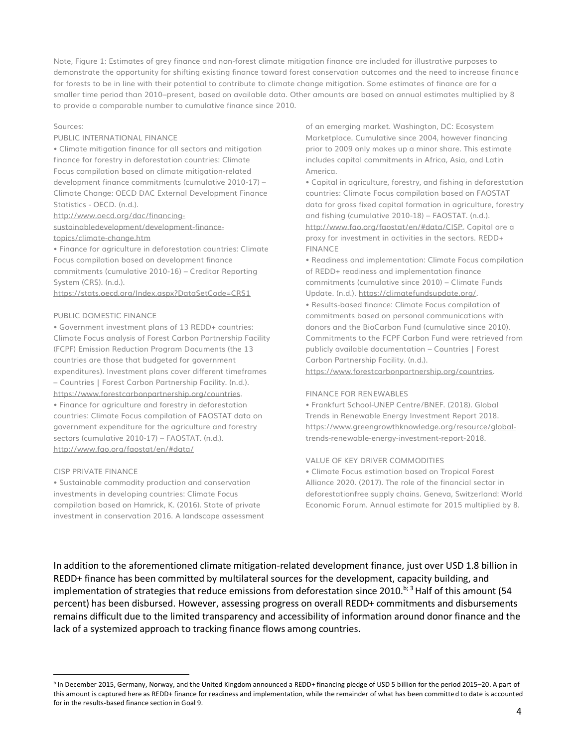Note, Figure 1: Estimates of grey finance and non-forest climate mitigation finance are included for illustrative purposes to demonstrate the opportunity for shifting existing finance toward forest conservation outcomes and the need to increase finance for forests to be in line with their potential to contribute to climate change mitigation. Some estimates of finance are for a smaller time period than 2010–present, based on available data. Other amounts are based on annual estimates multiplied by 8 to provide a comparable number to cumulative finance since 2010.

#### Sources:

#### PUBLIC INTERNATIONAL FINANCE

• Climate mitigation finance for all sectors and mitigation finance for forestry in deforestation countries: Climate Focus compilation based on climate mitigation-related development finance commitments (cumulative 2010-17) – Climate Change: OECD DAC External Development Finance Statistics - OECD. (n.d.).

[http://www.oecd.org/dac/financing](http://www.oecd.org/dac/financing-sustainabledevelopment/development-finance-topics/climate-change.htm)[sustainabledevelopment/development-finance](http://www.oecd.org/dac/financing-sustainabledevelopment/development-finance-topics/climate-change.htm)[topics/climate-change.htm](http://www.oecd.org/dac/financing-sustainabledevelopment/development-finance-topics/climate-change.htm)

• Finance for agriculture in deforestation countries: Climate Focus compilation based on development finance commitments (cumulative 2010-16) – Creditor Reporting System (CRS). (n.d.).

<https://stats.oecd.org/Index.aspx?DataSetCode=CRS1>

#### PUBLIC DOMESTIC FINANCE

• Government investment plans of 13 REDD+ countries: Climate Focus analysis of Forest Carbon Partnership Facility (FCPF) Emission Reduction Program Documents (the 13 countries are those that budgeted for government expenditures). Investment plans cover different timeframes – Countries | Forest Carbon Partnership Facility. (n.d.). [https://www.forestcarbonpartnership.org/countries.](https://www.forestcarbonpartnership.org/countries)  • Finance for agriculture and forestry in deforestation countries: Climate Focus compilation of FAOSTAT data on government expenditure for the agriculture and forestry sectors (cumulative 2010-17) – FAOSTAT. (n.d.). <http://www.fao.org/faostat/en/#data/>

#### CISP PRIVATE FINANCE

• Sustainable commodity production and conservation investments in developing countries: Climate Focus compilation based on Hamrick, K. (2016). State of private investment in conservation 2016. A landscape assessment

of an emerging market. Washington, DC: Ecosystem Marketplace. Cumulative since 2004, however financing prior to 2009 only makes up a minor share. This estimate includes capital commitments in Africa, Asia, and Latin America.

• Capital in agriculture, forestry, and fishing in deforestation countries: Climate Focus compilation based on FAOSTAT data for gross fixed capital formation in agriculture, forestry and fishing (cumulative 2010-18) – FAOSTAT. (n.d.). [http://www.fao.org/faostat/en/#data/CISP.](http://www.fao.org/faostat/en/#data/CISP) Capital are a proxy for investment in activities in the sectors. REDD+ FINANCE

• Readiness and implementation: Climate Focus compilation of REDD+ readiness and implementation finance commitments (cumulative since 2010) – Climate Funds Update. (n.d.). [https://climatefundsupdate.org/.](https://climatefundsupdate.org/) 

• Results-based finance: Climate Focus compilation of commitments based on personal communications with donors and the BioCarbon Fund (cumulative since 2010). Commitments to the FCPF Carbon Fund were retrieved from publicly available documentation – Countries | Forest Carbon Partnership Facility. (n.d.).

[https://www.forestcarbonpartnership.org/countries.](https://www.forestcarbonpartnership.org/countries)

#### FINANCE FOR RENEWABLES

• Frankfurt School-UNEP Centre/BNEF. (2018). Global Trends in Renewable Energy Investment Report 2018. [https://www.greengrowthknowledge.org/resource/global](https://www.greengrowthknowledge.org/resource/global-trends-renewable-energy-investment-report-2018)[trends-renewable-energy-investment-report-2018.](https://www.greengrowthknowledge.org/resource/global-trends-renewable-energy-investment-report-2018)

#### VALUE OF KEY DRIVER COMMODITIES

• Climate Focus estimation based on Tropical Forest Alliance 2020. (2017). The role of the financial sector in deforestationfree supply chains. Geneva, Switzerland: World Economic Forum. Annual estimate for 2015 multiplied by 8.

In addition to the aforementioned climate mitigation-related development finance, just over USD 1.8 billion in REDD+ finance has been committed by multilateral sources for the development, capacity building, and implementation of strategies that reduce emissions from deforestation since 2010.<sup>b; 3</sup> Half of this amount (54 percent) has been disbursed. However, assessing progress on overall REDD+ commitments and disbursements remains difficult due to the limited transparency and accessibility of information around donor finance and the lack of a systemized approach to tracking finance flows among countries.

<sup>&</sup>lt;sup>b</sup> In December 2015, Germany, Norway, and the United Kingdom announced a REDD+ financing pledge of USD 5 billion for the period 2015–20. A part of this amount is captured here as REDD+ finance for readiness and implementation, while the remainder of what has been committed to date is accounted for in the results-based finance section in Goal 9.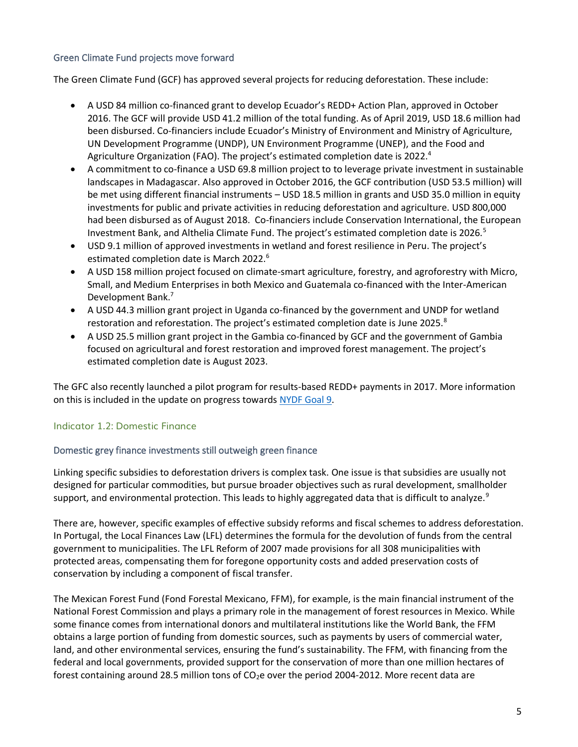## Green Climate Fund projects move forward

The Green Climate Fund (GCF) has approved several projects for reducing deforestation. These include:

- A USD 84 million co-financed grant to develop Ecuador's REDD+ Action Plan, approved in October 2016. The GCF will provide USD 41.2 million of the total funding. As of April 2019, USD 18.6 million had been disbursed. Co-financiers include Ecuador's Ministry of Environment and Ministry of Agriculture, UN Development Programme (UNDP), UN Environment Programme (UNEP), and the Food and Agriculture Organization (FAO). The project's estimated completion date is 2022.<sup>4</sup>
- A commitment to co-finance a USD 69.8 million project to to leverage private investment in sustainable landscapes in Madagascar. Also approved in October 2016, the GCF contribution (USD 53.5 million) will be met using different financial instruments – USD 18.5 million in grants and USD 35.0 million in equity investments for public and private activities in reducing deforestation and agriculture. USD 800,000 had been disbursed as of August 2018. Co-financiers include Conservation International, the European Investment Bank, and Althelia Climate Fund. The project's estimated completion date is 2026.<sup>5</sup>
- USD 9.1 million of approved investments in wetland and forest resilience in Peru. The project's estimated completion date is March 2022. 6
- A USD 158 million project focused on climate-smart agriculture, forestry, and agroforestry with Micro, Small, and Medium Enterprises in both Mexico and Guatemala co-financed with the Inter-American Development Bank. 7
- A USD 44.3 million grant project in Uganda co-financed by the government and UNDP for wetland restoration and reforestation. The project's estimated completion date is June 2025. $^8$
- A USD 25.5 million grant project in the Gambia co-financed by GCF and the government of Gambia focused on agricultural and forest restoration and improved forest management. The project's estimated completion date is August 2023.

The GFC also recently launched a pilot program for results-based REDD+ payments in 2017. More information on this is included in the update on progress towards [NYDF Goal 9.](http://www.forestdeclaration.org/goals/goal-9)

## Indicator 1.2: Domestic Finance

### Domestic grey finance investments still outweigh green finance

Linking specific subsidies to deforestation drivers is complex task. One issue is that subsidies are usually not designed for particular commodities, but pursue broader objectives such as rural development, smallholder support, and environmental protection. This leads to highly aggregated data that is difficult to analyze.<sup>9</sup>

There are, however, specific examples of effective subsidy reforms and fiscal schemes to address deforestation. In Portugal, the Local Finances Law (LFL) determines the formula for the devolution of funds from the central government to municipalities. The LFL Reform of 2007 made provisions for all 308 municipalities with protected areas, compensating them for foregone opportunity costs and added preservation costs of conservation by including a component of fiscal transfer.

The Mexican Forest Fund (Fond Forestal Mexicano, FFM), for example, is the main financial instrument of the National Forest Commission and plays a primary role in the management of forest resources in Mexico. While some finance comes from international donors and multilateral institutions like the World Bank, the FFM obtains a large portion of funding from domestic sources, such as payments by users of commercial water, land, and other environmental services, ensuring the fund's sustainability. The FFM, with financing from the federal and local governments, provided support for the conservation of more than one million hectares of forest containing around 28.5 million tons of CO<sub>2</sub>e over the period 2004-2012. More recent data are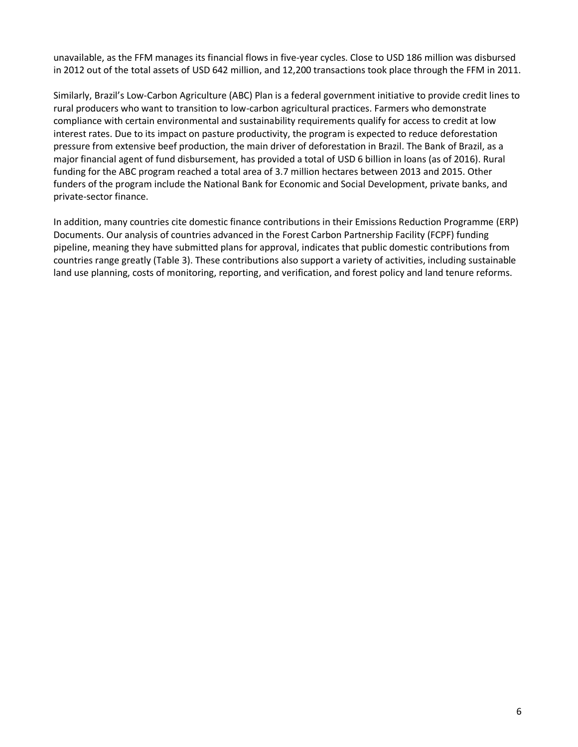unavailable, as the FFM manages its financial flows in five-year cycles. Close to USD 186 million was disbursed in 2012 out of the total assets of USD 642 million, and 12,200 transactions took place through the FFM in 2011.

Similarly, Brazil's Low-Carbon Agriculture (ABC) Plan is a federal government initiative to provide credit lines to rural producers who want to transition to low-carbon agricultural practices. Farmers who demonstrate compliance with certain environmental and sustainability requirements qualify for access to credit at low interest rates. Due to its impact on pasture productivity, the program is expected to reduce deforestation pressure from extensive beef production, the main driver of deforestation in Brazil. The Bank of Brazil, as a major financial agent of fund disbursement, has provided a total of USD 6 billion in loans (as of 2016). Rural funding for the ABC program reached a total area of 3.7 million hectares between 2013 and 2015. Other funders of the program include the National Bank for Economic and Social Development, private banks, and private-sector finance.

In addition, many countries cite domestic finance contributions in their Emissions Reduction Programme (ERP) Documents. Our analysis of countries advanced in the Forest Carbon Partnership Facility (FCPF) funding pipeline, meaning they have submitted plans for approval, indicates that public domestic contributions from countries range greatly (Table 3). These contributions also support a variety of activities, including sustainable land use planning, costs of monitoring, reporting, and verification, and forest policy and land tenure reforms.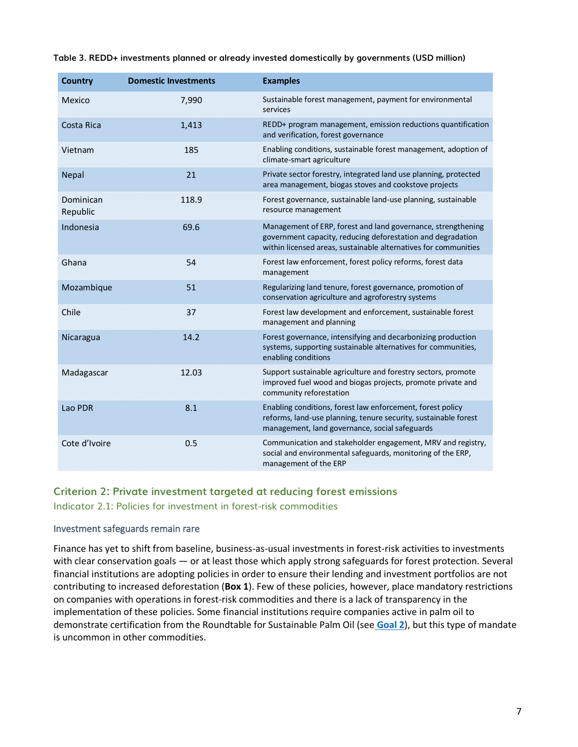| <b>Country</b>        | <b>Domestic Investments</b> | <b>Examples</b>                                                                                                                                                                                |
|-----------------------|-----------------------------|------------------------------------------------------------------------------------------------------------------------------------------------------------------------------------------------|
| Mexico                | 7,990                       | Sustainable forest management, payment for environmental<br>services                                                                                                                           |
| Costa Rica            | 1,413                       | REDD+ program management, emission reductions quantification<br>and verification, forest governance                                                                                            |
| Vietnam               | 185                         | Enabling conditions, sustainable forest management, adoption of<br>climate-smart agriculture                                                                                                   |
| <b>Nepal</b>          | 21                          | Private sector forestry, integrated land use planning, protected<br>area management, biogas stoves and cookstove projects                                                                      |
| Dominican<br>Republic | 118.9                       | Forest governance, sustainable land-use planning, sustainable<br>resource management                                                                                                           |
| Indonesia             | 69.6                        | Management of ERP, forest and land governance, strengthening<br>government capacity, reducing deforestation and degradation<br>within licensed areas, sustainable alternatives for communities |
| Ghana                 | 54                          | Forest law enforcement, forest policy reforms, forest data<br>management                                                                                                                       |
| Mozambique            | 51                          | Regularizing land tenure, forest governance, promotion of<br>conservation agriculture and agroforestry systems                                                                                 |
| Chile                 | 37                          | Forest law development and enforcement, sustainable forest<br>management and planning                                                                                                          |
| Nicaragua             | 14.2                        | Forest governance, intensifying and decarbonizing production<br>systems, supporting sustainable alternatives for communities,<br>enabling conditions                                           |
| Madagascar            | 12.03                       | Support sustainable agriculture and forestry sectors, promote<br>improved fuel wood and biogas projects, promote private and<br>community reforestation                                        |
| Lao PDR               | 8.1                         | Enabling conditions, forest law enforcement, forest policy<br>reforms, land-use planning, tenure security, sustainable forest<br>management, land governance, social safeguards                |
| Cote d'Ivoire         | 0.5                         | Communication and stakeholder engagement, MRV and registry,<br>social and environmental safeguards, monitoring of the ERP,<br>management of the ERP                                            |

## **Criterion 2: Private investment targeted at reducing forest emissions**

Indicator 2.1: Policies for investment in forest-risk commodities

#### Investment safeguards remain rare

Finance has yet to shift from baseline, business-as-usual investments in forest-risk activities to investments with clear conservation goals — or at least those which apply strong safeguards for forest protection. Several financial institutions are adopting policies in order to ensure their lending and investment portfolios are not contributing to increased deforestation (**Box 1**). Few of these policies, however, place mandatory restrictions on companies with operations in forest-risk commodities and there is a lack of transparency in the implementation of these policies. Some financial institutions require companies active in palm oil to demonstrate certification from the Roundtable for Sustainable Palm Oil (see **[Goal 2](http://www.forestdeclaration.org/goals/goal-2)**), but this type of mandate is uncommon in other commodities.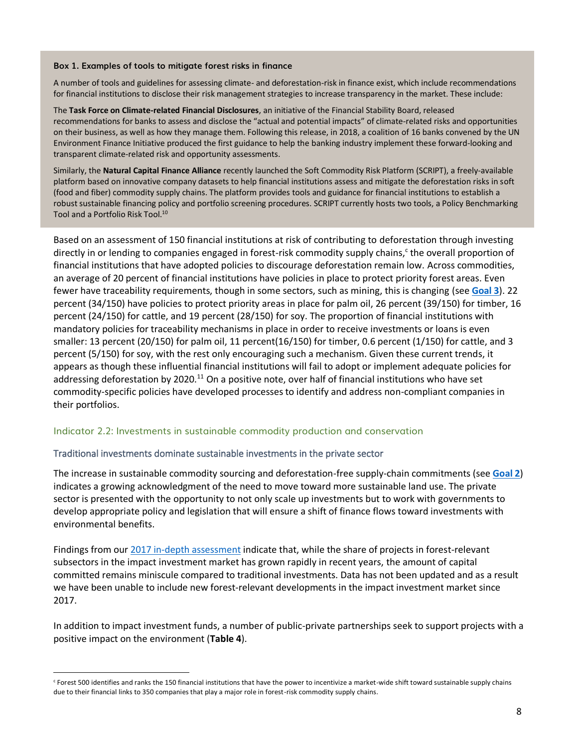#### **Box 1. Examples of tools to mitigate forest risks in finance**

A number of tools and guidelines for assessing climate- and deforestation-risk in finance exist, which include recommendations for financial institutions to disclose their risk management strategies to increase transparency in the market. These include:

The **Task Force on Climate-related Financial Disclosures**, an initiative of the Financial Stability Board, released recommendations for banks to assess and disclose the "actual and potential impacts" of climate-related risks and opportunities on their business, as well as how they manage them. Following this release, in 2018, a coalition of 16 banks convened by the UN Environment Finance Initiative produced the first guidance to help the banking industry implement these forward-looking and transparent climate-related risk and opportunity assessments.

Similarly, the **Natural Capital Finance Alliance** recently launched the Soft Commodity Risk Platform (SCRIPT), a freely-available platform based on innovative company datasets to help financial institutions assess and mitigate the deforestation risks in soft (food and fiber) commodity supply chains. The platform provides tools and guidance for financial institutions to establish a robust sustainable financing policy and portfolio screening procedures. SCRIPT currently hosts two tools, a Policy Benchmarking Tool and a Portfolio Risk Tool.<sup>10</sup>

Based on an assessment of 150 financial institutions at risk of contributing to deforestation through investing directly in or lending to companies engaged in forest-risk commodity supply chains,<sup>c</sup> the overall proportion of financial institutions that have adopted policies to discourage deforestation remain low. Across commodities, an average of 20 percent of financial institutions have policies in place to protect priority forest areas. Even fewer have traceability requirements, though in some sectors, such as mining, this is changing (see **[Goal 3](http://www.forestdeclaration.org/goals/goal-3)**). 22 percent (34/150) have policies to protect priority areas in place for palm oil, 26 percent (39/150) for timber, 16 percent (24/150) for cattle, and 19 percent (28/150) for soy. The proportion of financial institutions with mandatory policies for traceability mechanisms in place in order to receive investments or loans is even smaller: 13 percent (20/150) for palm oil, 11 percent(16/150) for timber, 0.6 percent (1/150) for cattle, and 3 percent (5/150) for soy, with the rest only encouraging such a mechanism. Given these current trends, it appears as though these influential financial institutions will fail to adopt or implement adequate policies for addressing deforestation by 2020.<sup>11</sup> On a positive note, over half of financial institutions who have set commodity-specific policies have developed processes to identify and address non-compliant companies in their portfolios.

## Indicator 2.2: Investments in sustainable commodity production and conservation

### Traditional investments dominate sustainable investments in the private sector

The increase in sustainable commodity sourcing and deforestation-free supply-chain commitments (see **[Goal 2](http://www.forestdeclaration.org/goals/goal-2)**) indicates a growing acknowledgment of the need to move toward more sustainable land use. The private sector is presented with the opportunity to not only scale up investments but to work with governments to develop appropriate policy and legislation that will ensure a shift of finance flows toward investments with environmental benefits.

Findings from our [2017 in-depth](https://forestdeclaration.org/images/uploads/resource/2017_NYDF_Goal8-9-Assessment_Full.pdf) assessment indicate that, while the share of projects in forest-relevant subsectors in the impact investment market has grown rapidly in recent years, the amount of capital committed remains miniscule compared to traditional investments. Data has not been updated and as a result we have been unable to include new forest-relevant developments in the impact investment market since 2017.

In addition to impact investment funds, a number of public-private partnerships seek to support projects with a positive impact on the environment (**Table 4**).

<sup>c</sup> Forest 500 identifies and ranks the 150 financial institutions that have the power to incentivize a market-wide shift toward sustainable supply chains due to their financial links to 350 companies that play a major role in forest-risk commodity supply chains.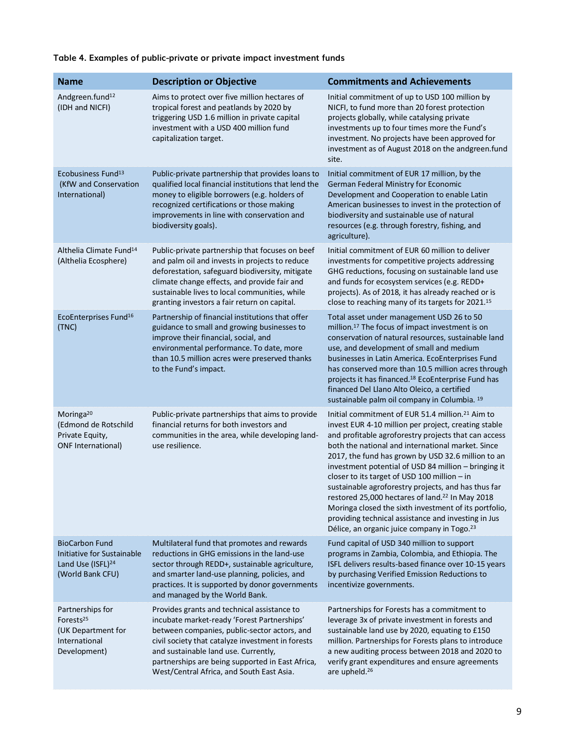## **Table 4. Examples of public-private or private impact investment funds**

| <b>Name</b>                                                                                              | <b>Description or Objective</b>                                                                                                                                                                                                                                                                                                          | <b>Commitments and Achievements</b>                                                                                                                                                                                                                                                                                                                                                                                                                                                                                                                                                                                                                                                              |
|----------------------------------------------------------------------------------------------------------|------------------------------------------------------------------------------------------------------------------------------------------------------------------------------------------------------------------------------------------------------------------------------------------------------------------------------------------|--------------------------------------------------------------------------------------------------------------------------------------------------------------------------------------------------------------------------------------------------------------------------------------------------------------------------------------------------------------------------------------------------------------------------------------------------------------------------------------------------------------------------------------------------------------------------------------------------------------------------------------------------------------------------------------------------|
| Andgreen.fund <sup>12</sup><br>(IDH and NICFI)                                                           | Aims to protect over five million hectares of<br>tropical forest and peatlands by 2020 by<br>triggering USD 1.6 million in private capital<br>investment with a USD 400 million fund<br>capitalization target.                                                                                                                           | Initial commitment of up to USD 100 million by<br>NICFI, to fund more than 20 forest protection<br>projects globally, while catalysing private<br>investments up to four times more the Fund's<br>investment. No projects have been approved for<br>investment as of August 2018 on the andgreen.fund<br>site.                                                                                                                                                                                                                                                                                                                                                                                   |
| Ecobusiness Fund <sup>13</sup><br>(KfW and Conservation<br>International)                                | Public-private partnership that provides loans to<br>qualified local financial institutions that lend the<br>money to eligible borrowers (e.g. holders of<br>recognized certifications or those making<br>improvements in line with conservation and<br>biodiversity goals).                                                             | Initial commitment of EUR 17 million, by the<br>German Federal Ministry for Economic<br>Development and Cooperation to enable Latin<br>American businesses to invest in the protection of<br>biodiversity and sustainable use of natural<br>resources (e.g. through forestry, fishing, and<br>agriculture).                                                                                                                                                                                                                                                                                                                                                                                      |
| Althelia Climate Fund <sup>14</sup><br>(Althelia Ecosphere)                                              | Public-private partnership that focuses on beef<br>and palm oil and invests in projects to reduce<br>deforestation, safeguard biodiversity, mitigate<br>climate change effects, and provide fair and<br>sustainable lives to local communities, while<br>granting investors a fair return on capital.                                    | Initial commitment of EUR 60 million to deliver<br>investments for competitive projects addressing<br>GHG reductions, focusing on sustainable land use<br>and funds for ecosystem services (e.g. REDD+<br>projects). As of 2018, it has already reached or is<br>close to reaching many of its targets for 2021.15                                                                                                                                                                                                                                                                                                                                                                               |
| EcoEnterprises Fund <sup>16</sup><br>(TNC)                                                               | Partnership of financial institutions that offer<br>guidance to small and growing businesses to<br>improve their financial, social, and<br>environmental performance. To date, more<br>than 10.5 million acres were preserved thanks<br>to the Fund's impact.                                                                            | Total asset under management USD 26 to 50<br>million. <sup>17</sup> The focus of impact investment is on<br>conservation of natural resources, sustainable land<br>use, and development of small and medium<br>businesses in Latin America. EcoEnterprises Fund<br>has conserved more than 10.5 million acres through<br>projects it has financed. <sup>18</sup> EcoEnterprise Fund has<br>financed Del Llano Alto Oleico, a certified<br>sustainable palm oil company in Columbia. 19                                                                                                                                                                                                           |
| Moringa <sup>20</sup><br>(Edmond de Rotschild<br>Private Equity,<br><b>ONF International)</b>            | Public-private partnerships that aims to provide<br>financial returns for both investors and<br>communities in the area, while developing land-<br>use resilience.                                                                                                                                                                       | Initial commitment of EUR 51.4 million. <sup>21</sup> Aim to<br>invest EUR 4-10 million per project, creating stable<br>and profitable agroforestry projects that can access<br>both the national and international market. Since<br>2017, the fund has grown by USD 32.6 million to an<br>investment potential of USD 84 million - bringing it<br>closer to its target of USD 100 million - in<br>sustainable agroforestry projects, and has thus far<br>restored 25,000 hectares of land. <sup>22</sup> In May 2018<br>Moringa closed the sixth investment of its portfolio,<br>providing technical assistance and investing in Jus<br>Délice, an organic juice company in Togo. <sup>23</sup> |
| <b>BioCarbon Fund</b><br>Initiative for Sustainable<br>Land Use (ISFL) <sup>24</sup><br>(World Bank CFU) | Multilateral fund that promotes and rewards<br>reductions in GHG emissions in the land-use<br>sector through REDD+, sustainable agriculture,<br>and smarter land-use planning, policies, and<br>practices. It is supported by donor governments<br>and managed by the World Bank.                                                        | Fund capital of USD 340 million to support<br>programs in Zambia, Colombia, and Ethiopia. The<br>ISFL delivers results-based finance over 10-15 years<br>by purchasing Verified Emission Reductions to<br>incentivize governments.                                                                                                                                                                                                                                                                                                                                                                                                                                                               |
| Partnerships for<br>Forests <sup>25</sup><br>(UK Department for<br>International<br>Development)         | Provides grants and technical assistance to<br>incubate market-ready 'Forest Partnerships'<br>between companies, public-sector actors, and<br>civil society that catalyze investment in forests<br>and sustainable land use. Currently,<br>partnerships are being supported in East Africa,<br>West/Central Africa, and South East Asia. | Partnerships for Forests has a commitment to<br>leverage 3x of private investment in forests and<br>sustainable land use by 2020, equating to £150<br>million. Partnerships for Forests plans to introduce<br>a new auditing process between 2018 and 2020 to<br>verify grant expenditures and ensure agreements<br>are upheld. <sup>26</sup>                                                                                                                                                                                                                                                                                                                                                    |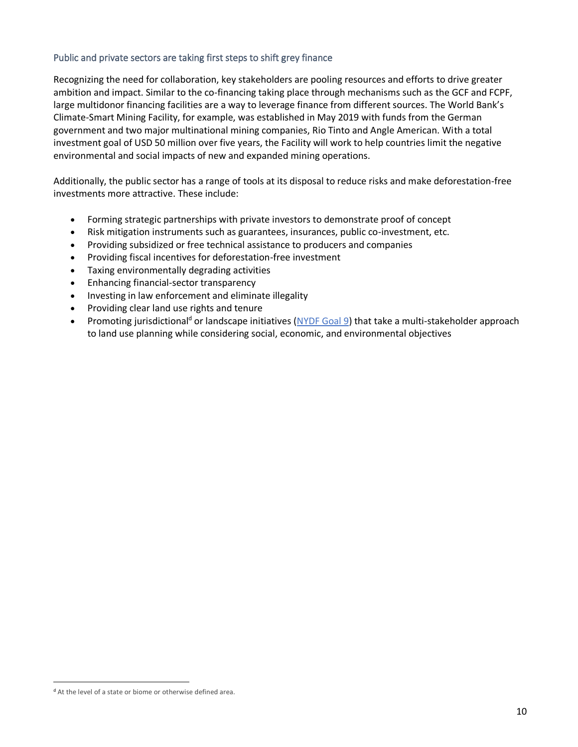## Public and private sectors are taking first steps to shift grey finance

Recognizing the need for collaboration, key stakeholders are pooling resources and efforts to drive greater ambition and impact. Similar to the co-financing taking place through mechanisms such as the GCF and FCPF, large multidonor financing facilities are a way to leverage finance from different sources. The World Bank's Climate-Smart Mining Facility, for example, was established in May 2019 with funds from the German government and two major multinational mining companies, Rio Tinto and Angle American. With a total investment goal of USD 50 million over five years, the Facility will work to help countries limit the negative environmental and social impacts of new and expanded mining operations.

Additionally, the public sector has a range of tools at its disposal to reduce risks and make deforestation-free investments more attractive. These include:

- Forming strategic partnerships with private investors to demonstrate proof of concept
- Risk mitigation instruments such as guarantees, insurances, public co-investment, etc.
- Providing subsidized or free technical assistance to producers and companies
- Providing fiscal incentives for deforestation-free investment
- Taxing environmentally degrading activities
- Enhancing financial-sector transparency
- Investing in law enforcement and eliminate illegality
- Providing clear land use rights and tenure
- Promoting jurisdictional<sup>d</sup> or landscape initiatives [\(NYDF Goal 9\)](http://forestdeclaration.org/goal/goal-9/) that take a multi-stakeholder approach to land use planning while considering social, economic, and environmental objectives

<sup>&</sup>lt;sup>d</sup> At the level of a state or biome or otherwise defined area.